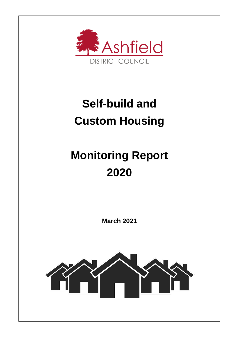

## **Self-build and Custom Housing**

# **Monitoring Report 2020**

**March 2021**

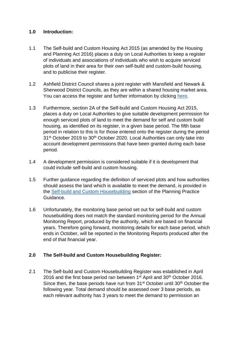#### **1.0 Introduction:**

- 1.1 The Self-build and Custom Housing Act 2015 (as amended by the Housing and Planning Act 2016) places a duty on Local Authorities to keep a register of individuals and associations of individuals who wish to acquire serviced plots of land in their area for their own self-build and custom-build housing, and to publicise their register.
- 1.2 Ashfield District Council shares a joint register with Mansfield and Newark & Sherwood District Councils, as they are within a shared housing market area. You can access the register and further information by clicking [here.](https://www.ashfield.gov.uk/residents/planning-building-control-and-land-charges/forward-planning/self-build-register/)
- 1.3 Furthermore, section 2A of the Self-build and Custom Housing Act 2015, places a duty on Local Authorities to give suitable development permission for enough serviced plots of land to meet the demand for self and custom build housing, as identified on its register, in a given base period. The fifth base period in relation to this is for those entered onto the register during the period 31<sup>st</sup> October 2019 to 30<sup>th</sup> October 2020. Local Authorities can only take into account development permissions that have been granted during each base period.
- 1.4 A development permission is considered suitable if it is development that could include self-build and custom housing.
- 1.5 Further guidance regarding the definition of serviced plots and how authorities should assess the land which is available to meet the demand, is provided in the [Self-build and Custom Housebuilding](https://www.gov.uk/guidance/self-build-and-custom-housebuilding#publicise-register) section of the Planning Practice Guidance.
- 1.6 Unfortunately, the monitoring base period set out for self-build and custom housebuilding does not match the standard monitoring period for the Annual Monitoring Report, produced by the authority, which are based on financial years. Therefore going forward, monitoring details for each base period, which ends in October, will be reported in the Monitoring Reports produced after the end of that financial year.

### **2.0 The Self-build and Custom Housebuilding Register:**

2.1 The Self-build and Custom Housebuilding Register was established in April 2016 and the first base period ran between 1<sup>st</sup> April and 30<sup>th</sup> October 2016. Since then, the base periods have run from 31<sup>st</sup> October until 30<sup>th</sup> October the following year. Total demand should be assessed over 3 base periods, as each relevant authority has 3 years to meet the demand to permission an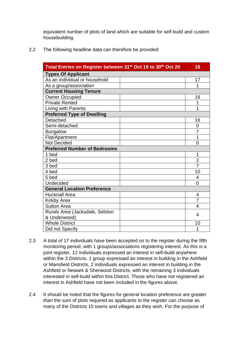equivalent number of plots of land which are suitable for self-build and custom housebuilding.

2.2 The following headline data can therefore be provided:

| Total Entries on Register between 31 <sup>st</sup> Oct 19 to 30 <sup>th</sup> Oct 20 |                |  |  |
|--------------------------------------------------------------------------------------|----------------|--|--|
| <b>Types Of Applicant</b>                                                            |                |  |  |
| As an individual or household                                                        | 17             |  |  |
| As a group/association                                                               | 1              |  |  |
| <b>Current Housing Tenure</b>                                                        |                |  |  |
| <b>Owner Occupied</b>                                                                | 16             |  |  |
| <b>Private Rented</b>                                                                | 1              |  |  |
| Living with Parents                                                                  | 1              |  |  |
| <b>Preferred Type of Dwelling</b>                                                    |                |  |  |
| Detached                                                                             | 16             |  |  |
| Semi-detached                                                                        | 0              |  |  |
| <b>Bungalow</b>                                                                      | $\overline{7}$ |  |  |
| Flat/Apartment                                                                       | 1              |  |  |
| <b>Not Decided</b>                                                                   | 0              |  |  |
| <b>Preferred Number of Bedrooms</b>                                                  |                |  |  |
| 1 bed                                                                                | 1              |  |  |
| 2 bed                                                                                | $\overline{2}$ |  |  |
| 3 bed                                                                                | 7              |  |  |
| 4 bed                                                                                | 10             |  |  |
| 5 bed                                                                                | 4              |  |  |
| Undecided                                                                            | 0              |  |  |
| <b>General Location Preference</b>                                                   |                |  |  |
| <b>Hucknall Area</b>                                                                 | 4              |  |  |
| <b>Kirkby Area</b>                                                                   | $\overline{7}$ |  |  |
| <b>Sutton Area</b>                                                                   | 4              |  |  |
| Rurals Area (Jacksdale, Selston                                                      |                |  |  |
| & Underwood)                                                                         | 4              |  |  |
| <b>Whole District</b>                                                                | 10             |  |  |
| Did not Specify                                                                      | 1              |  |  |

- 2.3 A total of 17 individuals have been accepted on to the register during the fifth monitoring period, with 1 groups/associations registering interest. As this is a joint register, 12 individuals expressed an interest in self-build anywhere within the 3 Districts, 1 group expressed an interest in building in the Ashfield or Mansfield Districts, 2 individuals expressed an interest in building in the Ashfield or Newark & Sherwood Districts, with the remaining 3 individuals interested in self-build within this District. Those who have not registered an interest in Ashfield have not been included in the figures above.
- 2.4 It should be noted that the figures for general location preference are greater than the sum of plots required as applicants to the register can choose as many of the Districts 15 towns and villages as they wish. For the purpose of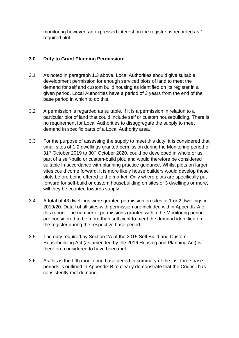monitoring however, an expressed interest on the register, is recorded as 1 required plot.

#### **3.0 Duty to Grant Planning Permission:**

- 3.1 As noted in paragraph 1.3 above, Local Authorities should give suitable development permission for enough serviced plots of land to meet the demand for self and custom build housing as identified on its register in a given period. Local Authorities have a period of 3 years from the end of the base period in which to do this.
- 3.2 A permission is regarded as suitable, if it is a permission in relation to a particular plot of land that could include self or custom housebuilding. There is no requirement for Local Authorities to disaggregate the supply to meet demand in specific parts of a Local Authority area.
- 3.3 For the purpose of assessing the supply to meet this duty, it is considered that small sites of 1-2 dwellings granted permission during the Monitoring period of 31<sup>st</sup> October 2019 to 30<sup>th</sup> October 2020, could be developed in whole or as part of a self-build or custom-build plot, and would therefore be considered suitable in accordance with planning practice guidance. Whilst plots on larger sites could come forward, it is more likely house builders would develop these plots before being offered to the market. Only where plots are specifically put forward for self-build or custom housebuilding on sites of 3 dwellings or more, will they be counted towards supply.
- 3.4 A total of 43 dwellings were granted permission on sites of 1 or 2 dwellings in 2019/20. Detail of all sites with permission are included within Appendix A of this report. The number of permissions granted within the Monitoring period are considered to be more than sufficient to meet the demand identified on the register during the respective base period.
- 3.5 The duty required by Section 2A of the 2015 Self Build and Custom Housebuilding Act (as amended by the 2016 Housing and Planning Act) is therefore considered to have been met.
- 3.6 As this is the fifth monitoring base period, a summary of the last three base periods is outlined in Appendix B to clearly demonstrate that the Council has consistently met demand.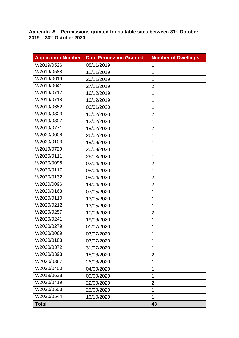**Appendix A – Permissions granted for suitable sites between 31 st October 2019 – 30th October 2020.** 

| <b>Application Number</b> | <b>Date Permission Granted</b> | <b>Number of Dwellings</b> |
|---------------------------|--------------------------------|----------------------------|
| V/2019/0526               | 08/11/2019                     | $\mathbf 1$                |
| V/2019/0588               | 11/11/2019                     | 1                          |
| V/2019/0619               | 20/11/2019                     | 1                          |
| V/2019/0641               | 27/11/2019                     | $\overline{2}$             |
| V/2019/0717               | 16/12/2019                     | 1                          |
| V/2019/0718               | 16/12/2019                     | 1                          |
| V/2019/0652               | 06/01/2020                     | 1                          |
| V/2019/0823               | 10/02/2020                     | $\overline{2}$             |
| V/2019/0807               | 12/02/2020                     | 1                          |
| V/2019/0771               | 19/02/2020                     | $\overline{2}$             |
| V/2020/0008               | 26/02/2020                     | 1                          |
| V/2020/0103               | 19/03/2020                     | 1                          |
| V/2019/0729               | 20/03/2020                     | 1                          |
| V/2020/0111               | 26/03/2020                     | 1                          |
| V/2020/0095               | 02/04/2020                     | $\overline{2}$             |
| V/2020/0117               | 08/04/2020                     | 1                          |
| V/2020/0132               | 08/04/2020                     | $\overline{2}$             |
| V/2020/0096               | 14/04/2020                     | $\overline{2}$             |
| V/2020/0163               | 07/05/2020                     | 1                          |
| V/2020/0110               | 13/05/2020                     | 1                          |
| V/2020/0212               | 13/05/2020                     | 1                          |
| V/2020/0257               | 10/06/2020                     | $\overline{2}$             |
| V/2020/0241               | 19/06/2020                     | 1                          |
| V/2020/0279               | 01/07/2020                     | 1                          |
| V/2020/0069               | 03/07/2020                     | 1                          |
| V/2020/0183               | 03/07/2020                     | 1                          |
| V/2020/0372               | 31/07/2020                     | 1                          |
| V/2020/0393               | 18/08/2020                     | $\overline{2}$             |
| V/2020/0367               | 26/08/2020                     | 1                          |
| V/2020/0400               | 04/09/2020                     | 1                          |
| V/2019/0638               | 09/09/2020                     | 1                          |
| V/2020/0419               | 22/09/2020                     | $\overline{2}$             |
| V/2020/0503               | 25/09/2020                     | 1                          |
| V/2020/0544               | 13/10/2020                     | 1                          |
| <b>Total</b>              |                                | 43                         |